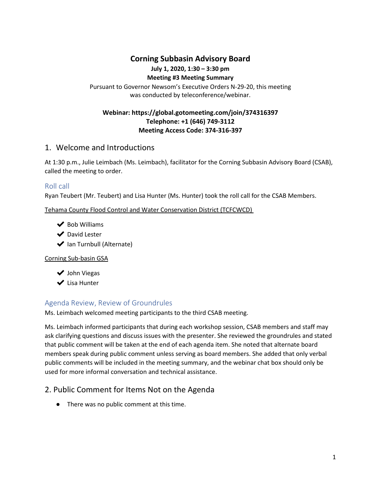## **Corning Subbasin Advisory Board**

# **July 1, 2020, 1:30 – 3:30 pm**

#### **Meeting #3 Meeting Summary**

Pursuant to Governor Newsom's Executive Orders N-29-20, this meeting was conducted by teleconference/webinar.

#### **Webinar: https://global.gotomeeting.com/join/374316397 Telephone: +1 (646) 749-3112 Meeting Access Code: 374-316-397**

### 1. Welcome and Introductions

At 1:30 p.m., Julie Leimbach (Ms. Leimbach), facilitator for the Corning Subbasin Advisory Board (CSAB), called the meeting to order.

#### Roll call

Ryan Teubert (Mr. Teubert) and Lisa Hunter (Ms. Hunter) took the roll call for the CSAB Members.

Tehama County Flood Control and Water Conservation District (TCFCWCD)

- $\blacktriangleright$  Bob Williams
- ◆ David Lester
- ◆ Ian Turnbull (Alternate)

#### Corning Sub-basin GSA

◆ John Viegas

✔ Lisa Hunter

## Agenda Review, Review of Groundrules

Ms. Leimbach welcomed meeting participants to the third CSAB meeting.

Ms. Leimbach informed participants that during each workshop session, CSAB members and staff may ask clarifying questions and discuss issues with the presenter. She reviewed the groundrules and stated that public comment will be taken at the end of each agenda item. She noted that alternate board members speak during public comment unless serving as board members. She added that only verbal public comments will be included in the meeting summary, and the webinar chat box should only be used for more informal conversation and technical assistance.

# 2. Public Comment for Items Not on the Agenda

● There was no public comment at this time.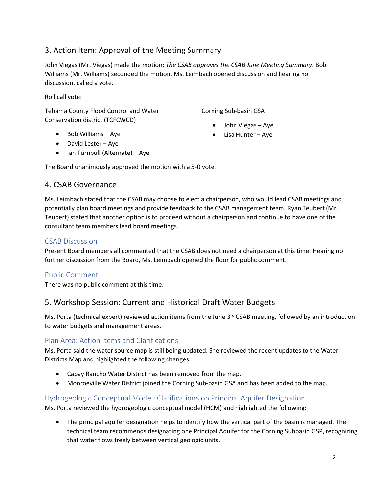# 3. Action Item: Approval of the Meeting Summary

John Viegas (Mr. Viegas) made the motion: *The CSAB approves the CSAB June Meeting Summary*. Bob Williams (Mr. Williams) seconded the motion. Ms. Leimbach opened discussion and hearing no discussion, called a vote.

Roll call vote:

Tehama County Flood Control and Water Conservation district (TCFCWCD)

Corning Sub-basin GSA

- John Viegas Aye
- Lisa Hunter Aye
- Bob Williams Aye
- David Lester Aye
- Ian Turnbull (Alternate) Aye

The Board unanimously approved the motion with a 5-0 vote.

### 4. CSAB Governance

Ms. Leimbach stated that the CSAB may choose to elect a chairperson, who would lead CSAB meetings and potentially plan board meetings and provide feedback to the CSAB management team. Ryan Teubert (Mr. Teubert) stated that another option is to proceed without a chairperson and continue to have one of the consultant team members lead board meetings.

### CSAB Discussion

Present Board members all commented that the CSAB does not need a chairperson at this time. Hearing no further discussion from the Board, Ms. Leimbach opened the floor for public comment.

## Public Comment

There was no public comment at this time.

# 5. Workshop Session: Current and Historical Draft Water Budgets

Ms. Porta (technical expert) reviewed action items from the June 3<sup>rd</sup> CSAB meeting, followed by an introduction to water budgets and management areas.

### Plan Area: Action Items and Clarifications

Ms. Porta said the water source map is still being updated. She reviewed the recent updates to the Water Districts Map and highlighted the following changes:

- Capay Rancho Water District has been removed from the map.
- Monroeville Water District joined the Corning Sub-basin GSA and has been added to the map.

## Hydrogeologic Conceptual Model: Clarifications on Principal Aquifer Designation

Ms. Porta reviewed the hydrogeologic conceptual model (HCM) and highlighted the following:

• The principal aquifer designation helps to identify how the vertical part of the basin is managed. The technical team recommends designating one Principal Aquifer for the Corning Subbasin GSP, recognizing that water flows freely between vertical geologic units.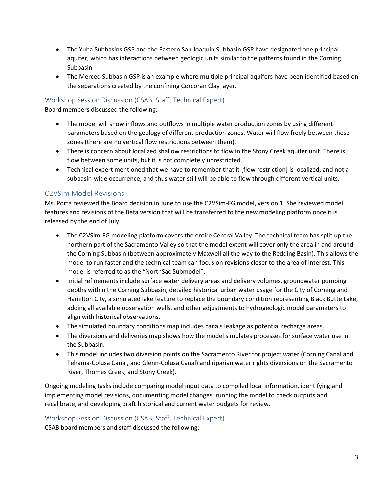- The Yuba Subbasins GSP and the Eastern San Joaquin Subbasin GSP have designated one principal aquifer, which has interactions between geologic units similar to the patterns found in the Corning Subbasin.
- The Merced Subbasin GSP is an example where multiple principal aquifers have been identified based on the separations created by the confining Corcoran Clay layer.

#### Workshop Session Discussion (CSAB, Staff, Technical Expert)

Board members discussed the following:

- The model will show inflows and outflows in multiple water production zones by using different parameters based on the geology of different production zones. Water will flow freely between these zones (there are no vertical flow restrictions between them).
- There is concern about localized shallow restrictions to flow in the Stony Creek aquifer unit. There is flow between some units, but it is not completely unrestricted.
- Technical expert mentioned that we have to remember that it [flow restriction] is localized, and not a subbasin-wide occurrence, and thus water still will be able to flow through different vertical units.

### C2VSim Model Revisions

Ms. Porta reviewed the Board decision in June to use the C2VSim-FG model, version 1. She reviewed model features and revisions of the Beta version that will be transferred to the new modeling platform once it is released by the end of July:

- The C2VSim-FG modeling platform covers the entire Central Valley. The technical team has split up the northern part of the Sacramento Valley so that the model extent will cover only the area in and around the Corning Subbasin (between approximately Maxwell all the way to the Redding Basin). This allows the model to run faster and the technical team can focus on revisions closer to the area of interest. This model is referred to as the "NorthSac Submodel".
- Initial refinements include surface water delivery areas and delivery volumes, groundwater pumping depths within the Corning Subbasin, detailed historical urban water usage for the City of Corning and Hamilton City, a simulated lake feature to replace the boundary condition representing Black Butte Lake, adding all available observation wells, and other adjustments to hydrogeologic model parameters to align with historical observations.
- The simulated boundary conditions map includes canals leakage as potential recharge areas.
- The diversions and deliveries map shows how the model simulates processes for surface water use in the Subbasin.
- This model includes two diversion points on the Sacramento River for project water (Corning Canal and Tehama-Colusa Canal, and Glenn-Colusa Canal) and riparian water rights diversions on the Sacramento River, Thomes Creek, and Stony Creek).

Ongoing modeling tasks include comparing model input data to compiled local information, identifying and implementing model revisions, documenting model changes, running the model to check outputs and recalibrate, and developing draft historical and current water budgets for review.

### Workshop Session Discussion (CSAB, Staff, Technical Expert)

CSAB board members and staff discussed the following: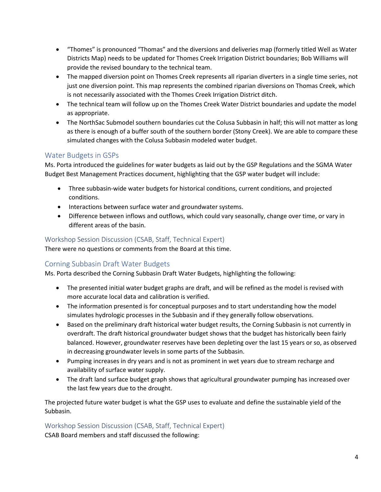- "Thomes" is pronounced "Thomas" and the diversions and deliveries map (formerly titled Well as Water Districts Map) needs to be updated for Thomes Creek Irrigation District boundaries; Bob Williams will provide the revised boundary to the technical team.
- The mapped diversion point on Thomes Creek represents all riparian diverters in a single time series, not just one diversion point. This map represents the combined riparian diversions on Thomas Creek, which is not necessarily associated with the Thomes Creek Irrigation District ditch.
- The technical team will follow up on the Thomes Creek Water District boundaries and update the model as appropriate.
- The NorthSac Submodel southern boundaries cut the Colusa Subbasin in half; this will not matter as long as there is enough of a buffer south of the southern border (Stony Creek). We are able to compare these simulated changes with the Colusa Subbasin modeled water budget.

## Water Budgets in GSPs

Ms. Porta introduced the guidelines for water budgets as laid out by the GSP Regulations and the SGMA Water Budget Best Management Practices document, highlighting that the GSP water budget will include:

- Three subbasin-wide water budgets for historical conditions, current conditions, and projected conditions.
- Interactions between surface water and groundwater systems.
- Difference between inflows and outflows, which could vary seasonally, change over time, or vary in different areas of the basin.

### Workshop Session Discussion (CSAB, Staff, Technical Expert)

There were no questions or comments from the Board at this time.

## Corning Subbasin Draft Water Budgets

Ms. Porta described the Corning Subbasin Draft Water Budgets, highlighting the following:

- The presented initial water budget graphs are draft, and will be refined as the model is revised with more accurate local data and calibration is verified.
- The information presented is for conceptual purposes and to start understanding how the model simulates hydrologic processes in the Subbasin and if they generally follow observations.
- Based on the preliminary draft historical water budget results, the Corning Subbasin is not currently in overdraft. The draft historical groundwater budget shows that the budget has historically been fairly balanced. However, groundwater reserves have been depleting over the last 15 years or so, as observed in decreasing groundwater levels in some parts of the Subbasin.
- Pumping increases in dry years and is not as prominent in wet years due to stream recharge and availability of surface water supply.
- The draft land surface budget graph shows that agricultural groundwater pumping has increased over the last few years due to the drought.

The projected future water budget is what the GSP uses to evaluate and define the sustainable yield of the Subbasin.

Workshop Session Discussion (CSAB, Staff, Technical Expert)

CSAB Board members and staff discussed the following: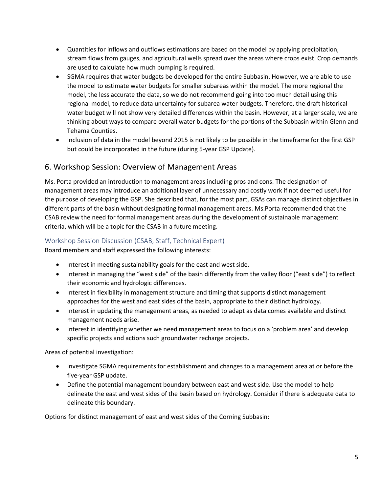- Quantities for inflows and outflows estimations are based on the model by applying precipitation, stream flows from gauges, and agricultural wells spread over the areas where crops exist. Crop demands are used to calculate how much pumping is required.
- SGMA requires that water budgets be developed for the entire Subbasin. However, we are able to use the model to estimate water budgets for smaller subareas within the model. The more regional the model, the less accurate the data, so we do not recommend going into too much detail using this regional model, to reduce data uncertainty for subarea water budgets. Therefore, the draft historical water budget will not show very detailed differences within the basin. However, at a larger scale, we are thinking about ways to compare overall water budgets for the portions of the Subbasin within Glenn and Tehama Counties.
- Inclusion of data in the model beyond 2015 is not likely to be possible in the timeframe for the first GSP but could be incorporated in the future (during 5-year GSP Update).

## 6. Workshop Session: Overview of Management Areas

Ms. Porta provided an introduction to management areas including pros and cons. The designation of management areas may introduce an additional layer of unnecessary and costly work if not deemed useful for the purpose of developing the GSP. She described that, for the most part, GSAs can manage distinct objectives in different parts of the basin without designating formal management areas. Ms.Porta recommended that the CSAB review the need for formal management areas during the development of sustainable management criteria, which will be a topic for the CSAB in a future meeting.

### Workshop Session Discussion (CSAB, Staff, Technical Expert)

Board members and staff expressed the following interests:

- Interest in meeting sustainability goals for the east and west side.
- Interest in managing the "west side" of the basin differently from the valley floor ("east side") to reflect their economic and hydrologic differences.
- Interest in flexibility in management structure and timing that supports distinct management approaches for the west and east sides of the basin, appropriate to their distinct hydrology.
- Interest in updating the management areas, as needed to adapt as data comes available and distinct management needs arise.
- Interest in identifying whether we need management areas to focus on a 'problem area' and develop specific projects and actions such groundwater recharge projects.

Areas of potential investigation:

- Investigate SGMA requirements for establishment and changes to a management area at or before the five-year GSP update.
- Define the potential management boundary between east and west side. Use the model to help delineate the east and west sides of the basin based on hydrology. Consider if there is adequate data to delineate this boundary.

Options for distinct management of east and west sides of the Corning Subbasin: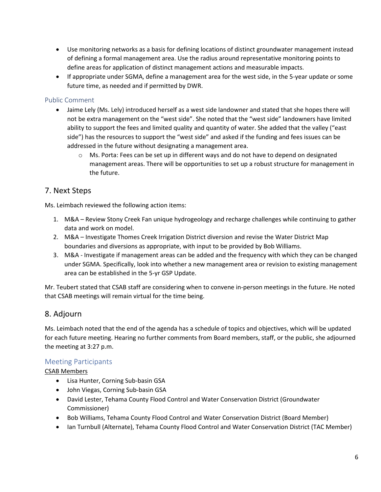- Use monitoring networks as a basis for defining locations of distinct groundwater management instead of defining a formal management area. Use the radius around representative monitoring points to define areas for application of distinct management actions and measurable impacts.
- If appropriate under SGMA, define a management area for the west side, in the 5-year update or some future time, as needed and if permitted by DWR.

### Public Comment

- Jaime Lely (Ms. Lely) introduced herself as a west side landowner and stated that she hopes there will not be extra management on the "west side". She noted that the "west side" landowners have limited ability to support the fees and limited quality and quantity of water. She added that the valley ("east side") has the resources to support the "west side" and asked if the funding and fees issues can be addressed in the future without designating a management area.
	- $\circ$  Ms. Porta: Fees can be set up in different ways and do not have to depend on designated management areas. There will be opportunities to set up a robust structure for management in the future.

# 7. Next Steps

Ms. Leimbach reviewed the following action items:

- 1. M&A Review Stony Creek Fan unique hydrogeology and recharge challenges while continuing to gather data and work on model.
- 2. M&A Investigate Thomes Creek Irrigation District diversion and revise the Water District Map boundaries and diversions as appropriate, with input to be provided by Bob Williams.
- 3. M&A Investigate if management areas can be added and the frequency with which they can be changed under SGMA. Specifically, look into whether a new management area or revision to existing management area can be established in the 5-yr GSP Update.

Mr. Teubert stated that CSAB staff are considering when to convene in-person meetings in the future. He noted that CSAB meetings will remain virtual for the time being.

# 8. Adjourn

Ms. Leimbach noted that the end of the agenda has a schedule of topics and objectives, which will be updated for each future meeting. Hearing no further comments from Board members, staff, or the public, she adjourned the meeting at 3:27 p.m.

## Meeting Participants

CSAB Members

- Lisa Hunter, Corning Sub-basin GSA
- John Viegas, Corning Sub-basin GSA
- David Lester, Tehama County Flood Control and Water Conservation District (Groundwater Commissioner)
- Bob Williams, Tehama County Flood Control and Water Conservation District (Board Member)
- Ian Turnbull (Alternate), Tehama County Flood Control and Water Conservation District (TAC Member)